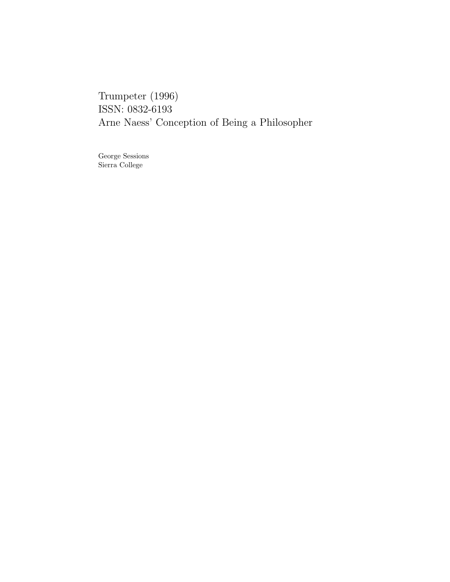Trumpeter (1996) ISSN: 0832-6193 Arne Naess' Conception of Being a Philosopher

George Sessions Sierra College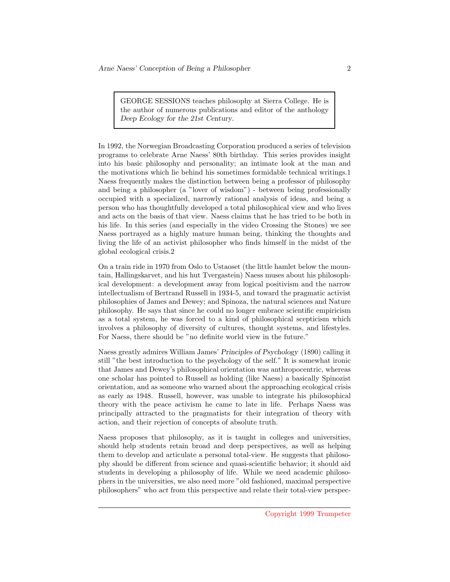GEORGE SESSIONS teaches philosophy at Sierra College. He is the author of numerous publications and editor of the anthology Deep Ecology for the 21st Century.

In 1992, the Norwegian Broadcasting Corporation produced a series of television programs to celebrate Arne Naess' 80th birthday. This series provides insight into his basic philosophy and personality; an intimate look at the man and the motivations which lie behind his sometimes formidable technical writings.1 Naess frequently makes the distinction between being a professor of philosophy and being a philosopher (a "lover of wisdom") - between being professionally occupied with a specialized, narrowly rational analysis of ideas, and being a person who has thoughtfully developed a total philosophical view and who lives and acts on the basis of that view. Naess claims that he has tried to be both in his life. In this series (and especially in the video Crossing the Stones) we see Naess portrayed as a highly mature human being, thinking the thoughts and living the life of an activist philosopher who finds himself in the midst of the global ecological crisis.2

On a train ride in 1970 from Oslo to Ustaoset (the little hamlet below the mountain, Hallingskarvet, and his hut Tvergastein) Naess muses about his philosophical development: a development away from logical positivism and the narrow intellectualism of Bertrand Russell in 1934-5, and toward the pragmatic activist philosophies of James and Dewey; and Spinoza, the natural sciences and Nature philosophy. He says that since he could no longer embrace scientific empiricism as a total system, he was forced to a kind of philosophical scepticism which involves a philosophy of diversity of cultures, thought systems, and lifestyles. For Naess, there should be "no definite world view in the future."

Naess greatly admires William James' Principles of Psychology (1890) calling it still "the best introduction to the psychology of the self." It is somewhat ironic that James and Dewey's philosophical orientation was anthropocentric, whereas one scholar has pointed to Russell as holding (like Naess) a basically Spinozist orientation, and as someone who warned about the approaching ecological crisis as early as 1948. Russell, however, was unable to integrate his philosophical theory with the peace activism he came to late in life. Perhaps Naess was principally attracted to the pragmatists for their integration of theory with action, and their rejection of concepts of absolute truth.

Naess proposes that philosophy, as it is taught in colleges and universities, should help students retain broad and deep perspectives, as well as helping them to develop and articulate a personal total-view. He suggests that philosophy should be different from science and quasi-scientific behavior; it should aid students in developing a philosophy of life. While we need academic philosophers in the universities, we also need more "old fashioned, maximal perspective philosophers" who act from this perspective and relate their total-view perspec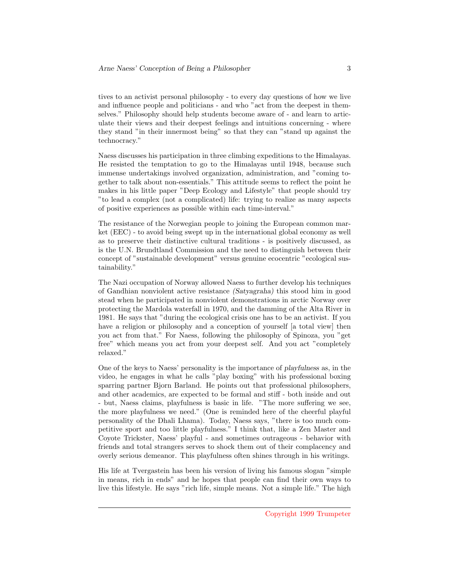tives to an activist personal philosophy - to every day questions of how we live and influence people and politicians - and who "act from the deepest in themselves." Philosophy should help students become aware of - and learn to articulate their views and their deepest feelings and intuitions concerning - where they stand "in their innermost being" so that they can "stand up against the technocracy."

Naess discusses his participation in three climbing expeditions to the Himalayas. He resisted the temptation to go to the Himalayas until 1948, because such immense undertakings involved organization, administration, and "coming together to talk about non-essentials." This attitude seems to reflect the point he makes in his little paper "Deep Ecology and Lifestyle" that people should try "to lead a complex (not a complicated) life: trying to realize as many aspects of positive experiences as possible within each time-interval."

The resistance of the Norwegian people to joining the European common market (EEC) - to avoid being swept up in the international global economy as well as to preserve their distinctive cultural traditions - is positively discussed, as is the U.N. Brundtland Commission and the need to distinguish between their concept of "sustainable development" versus genuine ecocentric "ecological sustainability."

The Nazi occupation of Norway allowed Naess to further develop his techniques of Gandhian nonviolent active resistance (Satyagraha) this stood him in good stead when he participated in nonviolent demonstrations in arctic Norway over protecting the Mardola waterfall in 1970, and the damming of the Alta River in 1981. He says that "during the ecological crisis one has to be an activist. If you have a religion or philosophy and a conception of yourself [a total view] then you act from that." For Naess, following the philosophy of Spinoza, you "get free" which means you act from your deepest self. And you act "completely relaxed."

One of the keys to Naess' personality is the importance of playfulness as, in the video, he engages in what he calls "play boxing" with his professional boxing sparring partner Bjorn Barland. He points out that professional philosophers, and other academics, are expected to be formal and stiff - both inside and out - but, Naess claims, playfulness is basic in life. "The more suffering we see, the more playfulness we need." (One is reminded here of the cheerful playful personality of the Dhali Lhama). Today, Naess says, "there is too much competitive sport and too little playfulness." I think that, like a Zen Master and Coyote Trickster, Naess' playful - and sometimes outrageous - behavior with friends and total strangers serves to shock them out of their complacency and overly serious demeanor. This playfulness often shines through in his writings.

His life at Tvergastein has been his version of living his famous slogan "simple in means, rich in ends" and he hopes that people can find their own ways to live this lifestyle. He says "rich life, simple means. Not a simple life." The high